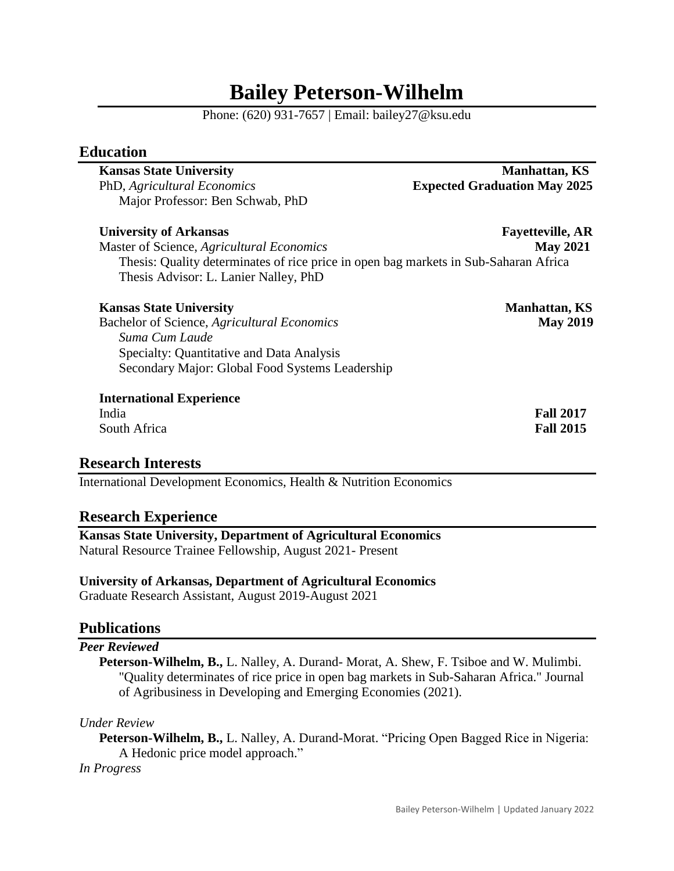# **Bailey Peterson-Wilhelm**

Phone: (620) 931-7657 | Email: bailey27@ksu.edu

# **Education**

| <b>Kansas State University</b>                                                       | <b>Manhattan, KS</b>                |
|--------------------------------------------------------------------------------------|-------------------------------------|
| PhD, Agricultural Economics                                                          | <b>Expected Graduation May 2025</b> |
| Major Professor: Ben Schwab, PhD                                                     |                                     |
| <b>University of Arkansas</b>                                                        | <b>Fayetteville, AR</b>             |
| Master of Science, Agricultural Economics                                            | <b>May 2021</b>                     |
| Thesis: Quality determinates of rice price in open bag markets in Sub-Saharan Africa |                                     |
| Thesis Advisor: L. Lanier Nalley, PhD                                                |                                     |
| <b>Kansas State University</b>                                                       | <b>Manhattan, KS</b>                |
| Bachelor of Science, Agricultural Economics                                          | <b>May 2019</b>                     |
| Suma Cum Laude                                                                       |                                     |
| Specialty: Quantitative and Data Analysis                                            |                                     |
| Secondary Major: Global Food Systems Leadership                                      |                                     |
| <b>International Experience</b>                                                      |                                     |
| India                                                                                | <b>Fall 2017</b>                    |
| South Africa                                                                         | <b>Fall 2015</b>                    |

# **Research Interests**

International Development Economics, Health & Nutrition Economics

# **Research Experience**

**Kansas State University, Department of Agricultural Economics** Natural Resource Trainee Fellowship, August 2021- Present

#### **University of Arkansas, Department of Agricultural Economics**

Graduate Research Assistant, August 2019-August 2021

# **Publications**

#### *Peer Reviewed*

**Peterson-Wilhelm, B.,** L. Nalley, A. Durand- Morat, A. Shew, F. Tsiboe and W. Mulimbi. "Quality determinates of rice price in open bag markets in Sub-Saharan Africa." Journal of Agribusiness in Developing and Emerging Economies (2021).

#### *Under Review*

**Peterson-Wilhelm, B.,** L. Nalley, A. Durand-Morat. "Pricing Open Bagged Rice in Nigeria: A Hedonic price model approach."

*In Progress*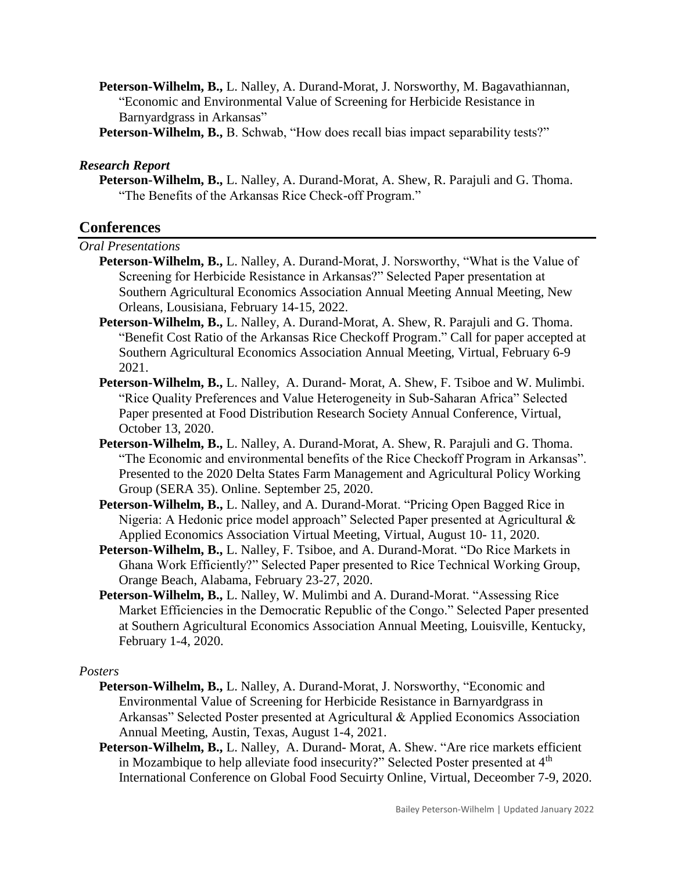- **Peterson-Wilhelm, B.,** L. Nalley, A. Durand-Morat, J. Norsworthy, M. Bagavathiannan, "Economic and Environmental Value of Screening for Herbicide Resistance in Barnyardgrass in Arkansas"
- **Peterson-Wilhelm, B.,** B. Schwab, "How does recall bias impact separability tests?"

#### *Research Report*

**Peterson-Wilhelm, B.,** L. Nalley, A. Durand-Morat, A. Shew, R. Parajuli and G. Thoma. "The Benefits of the Arkansas Rice Check-off Program."

# **Conferences**

#### *Oral Presentations*

- **Peterson-Wilhelm, B.,** L. Nalley, A. Durand-Morat, J. Norsworthy, "What is the Value of Screening for Herbicide Resistance in Arkansas?" Selected Paper presentation at Southern Agricultural Economics Association Annual Meeting Annual Meeting, New Orleans, Lousisiana, February 14-15, 2022.
- **Peterson-Wilhelm, B.,** L. Nalley, A. Durand-Morat, A. Shew, R. Parajuli and G. Thoma. "Benefit Cost Ratio of the Arkansas Rice Checkoff Program." Call for paper accepted at Southern Agricultural Economics Association Annual Meeting, Virtual, February 6-9 2021.
- **Peterson-Wilhelm, B.,** L. Nalley, A. Durand- Morat, A. Shew, F. Tsiboe and W. Mulimbi. "Rice Quality Preferences and Value Heterogeneity in Sub-Saharan Africa" Selected Paper presented at Food Distribution Research Society Annual Conference, Virtual, October 13, 2020.
- **Peterson-Wilhelm, B.,** L. Nalley, A. Durand-Morat, A. Shew, R. Parajuli and G. Thoma. "The Economic and environmental benefits of the Rice Checkoff Program in Arkansas". Presented to the 2020 Delta States Farm Management and Agricultural Policy Working Group (SERA 35). Online. September 25, 2020.
- **Peterson-Wilhelm, B.,** L. Nalley, and A. Durand-Morat. "Pricing Open Bagged Rice in Nigeria: A Hedonic price model approach" Selected Paper presented at Agricultural & Applied Economics Association Virtual Meeting, Virtual, August 10- 11, 2020.
- **Peterson-Wilhelm, B.,** L. Nalley, F. Tsiboe, and A. Durand-Morat. "Do Rice Markets in Ghana Work Efficiently?" Selected Paper presented to Rice Technical Working Group, Orange Beach, Alabama, February 23-27, 2020.
- **Peterson-Wilhelm, B.,** L. Nalley, W. Mulimbi and A. Durand-Morat. "Assessing Rice Market Efficiencies in the Democratic Republic of the Congo." Selected Paper presented at Southern Agricultural Economics Association Annual Meeting, Louisville, Kentucky, February 1-4, 2020.

#### *Posters*

- **Peterson-Wilhelm, B.,** L. Nalley, A. Durand-Morat, J. Norsworthy, "Economic and Environmental Value of Screening for Herbicide Resistance in Barnyardgrass in Arkansas" Selected Poster presented at Agricultural & Applied Economics Association Annual Meeting, Austin, Texas, August 1-4, 2021.
- Peterson-Wilhelm, B., L. Nalley, A. Durand-Morat, A. Shew. "Are rice markets efficient in Mozambique to help alleviate food insecurity?" Selected Poster presented at  $4<sup>th</sup>$ International Conference on Global Food Secuirty Online, Virtual, Deceomber 7-9, 2020.